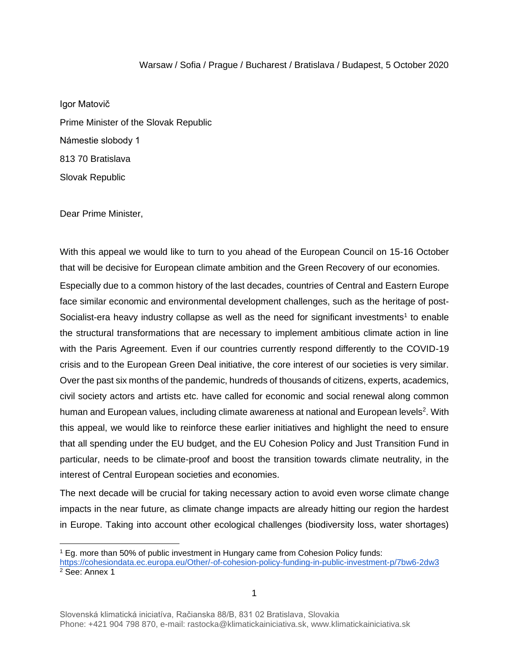#### Warsaw / Sofia / Prague / Bucharest / Bratislava / Budapest, 5 October 2020

Igor Matovič Prime Minister of the Slovak Republic Námestie slobody 1 813 70 Bratislava Slovak Republic

Dear Prime Minister,

With this appeal we would like to turn to you ahead of the European Council on 15-16 October that will be decisive for European climate ambition and the Green Recovery of our economies. Especially due to a common history of the last decades, countries of Central and Eastern Europe face similar economic and environmental development challenges, such as the heritage of post-Socialist-era heavy industry collapse as well as the need for significant investments<sup>1</sup> to enable the structural transformations that are necessary to implement ambitious climate action in line with the Paris Agreement. Even if our countries currently respond differently to the COVID-19 crisis and to the European Green Deal initiative, the core interest of our societies is very similar. Over the past six months of the pandemic, hundreds of thousands of citizens, experts, academics, civil society actors and artists etc. have called for economic and social renewal along common human and European values, including climate awareness at national and European levels<sup>2</sup>. With this appeal, we would like to reinforce these earlier initiatives and highlight the need to ensure that all spending under the EU budget, and the EU Cohesion Policy and Just Transition Fund in particular, needs to be climate-proof and boost the transition towards climate neutrality, in the interest of Central European societies and economies.

The next decade will be crucial for taking necessary action to avoid even worse climate change impacts in the near future, as climate change impacts are already hitting our region the hardest in Europe. Taking into account other ecological challenges (biodiversity loss, water shortages)

<sup>1</sup> Eg. more than 50% of public investment in Hungary came from Cohesion Policy funds: <https://cohesiondata.ec.europa.eu/Other/-of-cohesion-policy-funding-in-public-investment-p/7bw6-2dw3> <sup>2</sup> See: Annex 1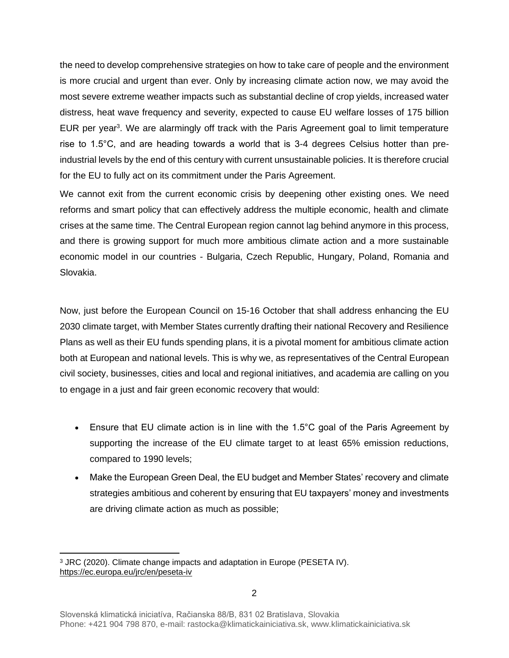the need to develop comprehensive strategies on how to take care of people and the environment is more crucial and urgent than ever. Only by increasing climate action now, we may avoid the most severe extreme weather impacts such as substantial decline of crop yields, increased water distress, heat wave frequency and severity, expected to cause EU welfare losses of 175 billion EUR per year<sup>3</sup>. We are alarmingly off track with the Paris Agreement goal to limit temperature rise to 1.5°C, and are heading towards a world that is 3-4 degrees Celsius hotter than preindustrial levels by the end of this century with current unsustainable policies. It is therefore crucial for the EU to fully act on its commitment under the Paris Agreement.

We cannot exit from the current economic crisis by deepening other existing ones. We need reforms and smart policy that can effectively address the multiple economic, health and climate crises at the same time. The Central European region cannot lag behind anymore in this process, and there is growing support for much more ambitious climate action and a more sustainable economic model in our countries - Bulgaria, Czech Republic, Hungary, Poland, Romania and Slovakia.

Now, just before the European Council on 15-16 October that shall address enhancing the EU 2030 climate target, with Member States currently drafting their national Recovery and Resilience Plans as well as their EU funds spending plans, it is a pivotal moment for ambitious climate action both at European and national levels. This is why we, as representatives of the Central European civil society, businesses, cities and local and regional initiatives, and academia are calling on you to engage in a just and fair green economic recovery that would:

- Ensure that EU climate action is in line with the 1.5°C goal of the Paris Agreement by supporting the increase of the EU climate target to at least 65% emission reductions, compared to 1990 levels;
- Make the European Green Deal, the EU budget and Member States' recovery and climate strategies ambitious and coherent by ensuring that EU taxpayers' money and investments are driving climate action as much as possible;

<sup>3</sup> JRC (2020). Climate change impacts and adaptation in Europe (PESETA IV). <https://ec.europa.eu/jrc/en/peseta-iv>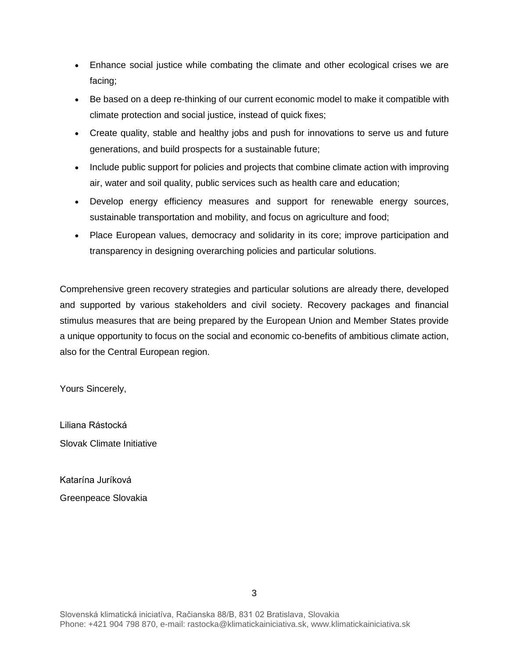- Enhance social justice while combating the climate and other ecological crises we are facing;
- Be based on a deep re-thinking of our current economic model to make it compatible with climate protection and social justice, instead of quick fixes;
- Create quality, stable and healthy jobs and push for innovations to serve us and future generations, and build prospects for a sustainable future;
- Include public support for policies and projects that combine climate action with improving air, water and soil quality, public services such as health care and education;
- Develop energy efficiency measures and support for renewable energy sources, sustainable transportation and mobility, and focus on agriculture and food;
- Place European values, democracy and solidarity in its core; improve participation and transparency in designing overarching policies and particular solutions.

Comprehensive green recovery strategies and particular solutions are already there, developed and supported by various stakeholders and civil society. Recovery packages and financial stimulus measures that are being prepared by the European Union and Member States provide a unique opportunity to focus on the social and economic co-benefits of ambitious climate action, also for the Central European region.

Yours Sincerely,

Liliana Rástocká Slovak Climate Initiative

Katarína Juríková Greenpeace Slovakia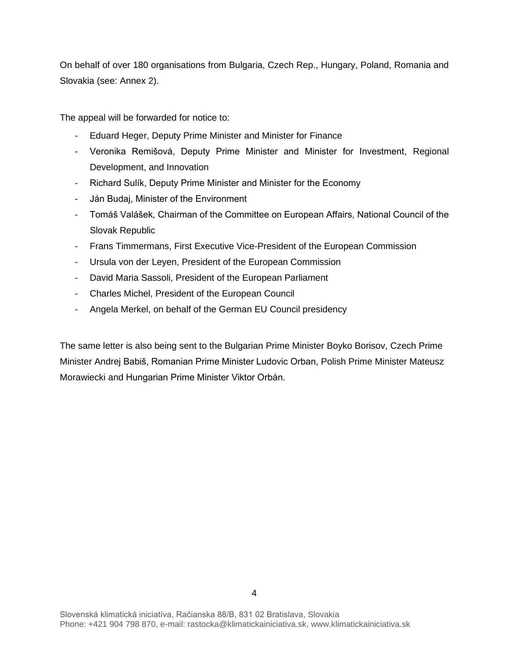On behalf of over 180 organisations from Bulgaria, Czech Rep., Hungary, Poland, Romania and Slovakia (see: Annex 2).

The appeal will be forwarded for notice to:

- Eduard Heger, Deputy Prime Minister and Minister for Finance
- Veronika Remišová, Deputy Prime Minister and Minister for Investment, Regional Development, and Innovation
- Richard Sulík, Deputy Prime Minister and Minister for the Economy
- Ján Budaj, Minister of the Environment
- Tomáš Valášek, Chairman of the Committee on European Affairs, National Council of the Slovak Republic
- Frans Timmermans, First Executive Vice-President of the European Commission
- Ursula von der Leyen, President of the European Commission
- David Maria Sassoli, President of the European Parliament
- Charles Michel, President of the European Council
- Angela Merkel, on behalf of the German EU Council presidency

The same letter is also being sent to the Bulgarian Prime Minister Boyko Borisov, Czech Prime Minister Andrej Babiš, Romanian Prime Minister Ludovic Orban, Polish Prime Minister Mateusz Morawiecki and Hungarian Prime Minister Viktor Orbán.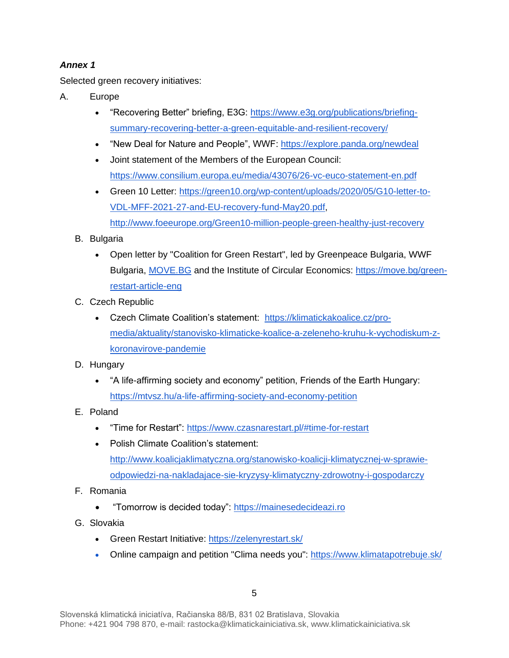# *Annex 1*

Selected green recovery initiatives:

- A. Europe
	- "Recovering Better" briefing, E3G: [https://www.e3g.org/publications/briefing](https://www.e3g.org/publications/briefing-summary-recovering-better-a-green-equitable-and-resilient-recovery/)[summary-recovering-better-a-green-equitable-and-resilient-recovery/](https://www.e3g.org/publications/briefing-summary-recovering-better-a-green-equitable-and-resilient-recovery/)
	- "New Deal for Nature and People", WWF:<https://explore.panda.org/newdeal>
	- Joint statement of the Members of the European Counc[il:](https://www.consilium.europa.eu/media/43076/26-vc-euco-statement-en.pdf)  <https://www.consilium.europa.eu/media/43076/26-vc-euco-statement-en.pdf>
	- Green 10 Letter: [https://green10.org/wp-content/uploads/2020/05/G10-letter-to-](https://green10.org/wp-content/uploads/2020/05/G10-letter-to-VDL-MFF-2021-27-and-EU-recovery-fund-May20.pdf)[VDL-MFF-2021-27-and-EU-recovery-fund-May20.pdf,](https://green10.org/wp-content/uploads/2020/05/G10-letter-to-VDL-MFF-2021-27-and-EU-recovery-fund-May20.pdf) <http://www.foeeurope.org/Green10-million-people-green-healthy-just-recovery>
	- B. Bulgaria
		- Open letter by "Coalition for Green Restart", led by Greenpeace Bulgaria, WWF Bulgaria, [MOVE.BG](http://move.bg/) and the Institute of Circular Economics: [https://move.bg/green](https://move.bg/green-restart-article-eng)[restart-article-eng](https://move.bg/green-restart-article-eng)
	- C. Czech Republic
		- Czech Climate Coalition's statement: [https://klimatickakoalice.cz/pro](https://klimatickakoalice.cz/pro-media/aktuality/stanovisko-klimaticke-koalice-a-zeleneho-kruhu-k-vychodiskum-z-koronavirove-pandemie)[media/aktuality/stanovisko-klimaticke-koalice-a-zeleneho-kruhu-k-vychodiskum-z](https://klimatickakoalice.cz/pro-media/aktuality/stanovisko-klimaticke-koalice-a-zeleneho-kruhu-k-vychodiskum-z-koronavirove-pandemie)[koronavirove-pandemie](https://klimatickakoalice.cz/pro-media/aktuality/stanovisko-klimaticke-koalice-a-zeleneho-kruhu-k-vychodiskum-z-koronavirove-pandemie)
	- D. Hungary
		- "A life-affirming society and economy" petition, Friends of the Earth Hungary[:](https://mtvsz.hu/a-life-affirming-society-and-economy-petition) <https://mtvsz.hu/a-life-affirming-society-and-economy-petition>
	- E. Poland
		- "Time for Restart":<https://www.czasnarestart.pl/#time-for-restart>
		- Polish Climate Coalition's statement: [http://www.koalicjaklimatyczna.org/stanowisko-koalicji-klimatycznej-w-sprawie](http://www.koalicjaklimatyczna.org/stanowisko-koalicji-klimatycznej-w-sprawie-odpowiedzi-na-nakladajace-sie-kryzysy-klimatyczny-zdrowotny-i-gospodarczy)[odpowiedzi-na-nakladajace-sie-kryzysy-klimatyczny-zdrowotny-i-gospodarczy](http://www.koalicjaklimatyczna.org/stanowisko-koalicji-klimatycznej-w-sprawie-odpowiedzi-na-nakladajace-sie-kryzysy-klimatyczny-zdrowotny-i-gospodarczy)
	- F. Romania
		- "Tomorrow is decided today": [https://mainesedecideazi.ro](https://mainesedecideazi.ro/)
	- G. Slovakia
		- Green Restart Initiative:<https://zelenyrestart.sk/>
		- Online campaign and petition "Clima needs you": <https://www.klimatapotrebuje.sk/>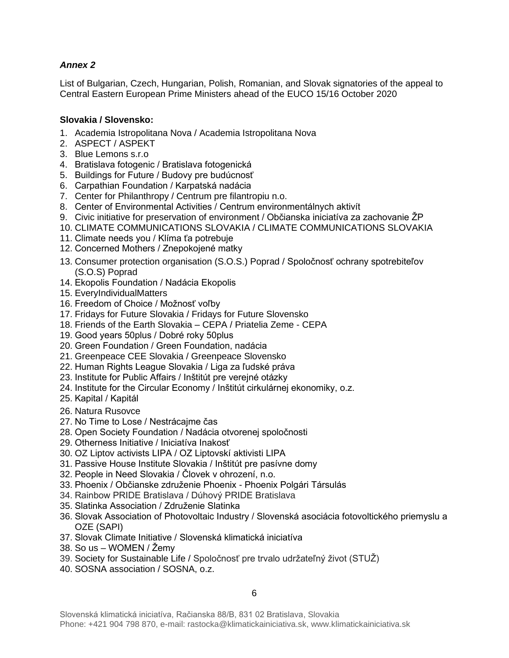# *Annex 2*

List of Bulgarian, Czech, Hungarian, Polish, Romanian, and Slovak signatories of the appeal to Central Eastern European Prime Ministers ahead of the EUCO 15/16 October 2020

## **Slovakia / Slovensko:**

- 1. Academia Istropolitana Nova / Academia Istropolitana Nova
- 2. ASPECT / ASPEKT
- 3. Blue Lemons s.r.o
- 4. Bratislava fotogenic / Bratislava fotogenická
- 5. Buildings for Future / Budovy pre budúcnosť
- 6. Carpathian Foundation / Karpatská nadácia
- 7. Center for Philanthropy / Centrum pre filantropiu n.o.
- 8. Center of Environmental Activities / Centrum environmentálnych aktivít
- 9. Civic initiative for preservation of environment / Občianska iniciatíva za zachovanie ŽP
- 10. CLIMATE COMMUNICATIONS SLOVAKIA / CLIMATE COMMUNICATIONS SLOVAKIA
- 11. Climate needs you / Klíma ťa potrebuje
- 12. Concerned Mothers / Znepokojené matky
- 13. Consumer protection organisation (S.O.S.) Poprad / Spoločnosť ochrany spotrebiteľov (S.O.S) Poprad
- 14. Ekopolis Foundation / Nadácia Ekopolis
- 15. EveryIndividualMatters
- 16. Freedom of Choice / Možnosť voľby
- 17. Fridays for Future Slovakia / Fridays for Future Slovensko
- 18. Friends of the Earth Slovakia CEPA / Priatelia Zeme CEPA
- 19. Good years 50plus / Dobré roky 50plus
- 20. Green Foundation / Green Foundation, nadácia
- 21. Greenpeace CEE Slovakia / Greenpeace Slovensko
- 22. Human Rights League Slovakia / Liga za ľudské práva
- 23. Institute for Public Affairs / Inštitút pre verejné otázky
- 24. Institute for the Circular Economy / Inštitút cirkulárnej ekonomiky, o.z.
- 25. Kapital / Kapitál
- 26. Natura Rusovce
- 27. No Time to Lose / Nestrácajme čas
- 28. Open Society Foundation / Nadácia otvorenej spoločnosti
- 29. Otherness Initiative / Iniciatíva Inakosť
- 30. OZ Liptov activists LIPA / OZ Liptovskí aktivisti LIPA
- 31. Passive House Institute Slovakia / Inštitút pre pasívne domy
- 32. People in Need Slovakia / Človek v ohrození, n.o.
- 33. Phoenix / Občianske združenie Phoenix Phoenix Polgári Társulás
- 34. Rainbow PRIDE Bratislava / Dúhový PRIDE Bratislava
- 35. Slatinka Association / Združenie Slatinka
- 36. Slovak Association of Photovoltaic Industry / Slovenská asociácia fotovoltického priemyslu a OZE (SAPI)
- 37. Slovak Climate Initiative / Slovenská klimatická iniciatíva
- 38. So us WOMEN / Žemy
- 39. Society for Sustainable Life / Spoločnosť pre trvalo udržateľný život (STUŽ)
- 40. SOSNA association / SOSNA, o.z.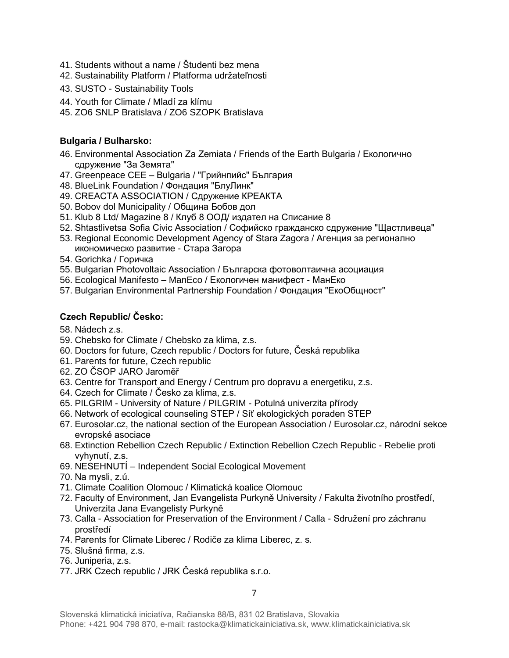- 41. Students without a name / Študenti bez mena
- 42. Sustainability Platform / Platforma udržateľnosti
- 43. SUSTO Sustainability Tools
- 44. Youth for Climate / Mladí za klímu
- 45. ZO6 SNLP Bratislava / ZO6 SZOPK Bratislava

## **Bulgaria / Bulharsko:**

- 46. Environmental Association Za Zemiata / Friends of the Earth Bulgaria / Екологично сдружение "За Земята"
- 47. Greenpeace CEE Bulgaria / "Грийнпийс" България
- 48. BlueLink Foundation / Фондация "БлуЛинк"
- 49. CREACTA ASSOCIATION / Сдружение КРЕАКТА
- 50. Bobov dol Municipality / Община Бобов дол
- 51. Klub 8 Ltd/ Magazine 8 / Клуб 8 ООД/ издател на Списание 8
- 52. Shtastlivetsa Sofia Civic Association / Софийско гражданско сдружение "Щастливеца"
- 53. Regional Economic Development Agency of Stara Zagora / Агенция за регионално икономическо развитие - Стара Загора
- 54. Gorichka / Горичка
- 55. Bulgarian Photovoltaic Association / Българска фотоволтаична асоциация
- 56. Ecological Manifesto ManEco / Екологичен манифест МанЕко
- 57. Bulgarian Environmental Partnership Foundation / Фондация "ЕкоОбщност"

### **Czech Republic/ Česko:**

- 58. Nádech z.s.
- 59. Chebsko for Climate / Chebsko za klima, z.s.
- 60. Doctors for future, Czech republic / Doctors for future, Česká republika
- 61. Parents for future, Czech republic
- 62. ZO ČSOP JARO Jaroměř
- 63. Centre for Transport and Energy / Centrum pro dopravu a energetiku, z.s.
- 64. Czech for Climate / Česko za klima, z.s.
- 65. PILGRIM University of Nature / PILGRIM Potulná univerzita přírody
- 66. Network of ecological counseling STEP / Síť ekologických poraden STEP
- 67. Eurosolar.cz, the national section of the European Association / Eurosolar.cz, národní sekce evropské asociace
- 68. Extinction Rebellion Czech Republic / Extinction Rebellion Czech Republic Rebelie proti vyhynutí, z.s.
- 69. NESEHNUTÍ Independent Social Ecological Movement
- 70. Na mysli, z.ú.
- 71. Climate Coalition Olomouc / Klimatická koalice Olomouc
- 72. Faculty of Environment, Jan Evangelista Purkyně University / Fakulta životního prostředí, Univerzita Jana Evangelisty Purkyně
- 73. Calla Association for Preservation of the Environment / Calla Sdružení pro záchranu prostředí
- 74. Parents for Climate Liberec / Rodiče za klima Liberec, z. s.
- 75. Slušná firma, z.s.
- 76. Juniperia, z.s.
- 77. JRK Czech republic / JRK Česká republika s.r.o.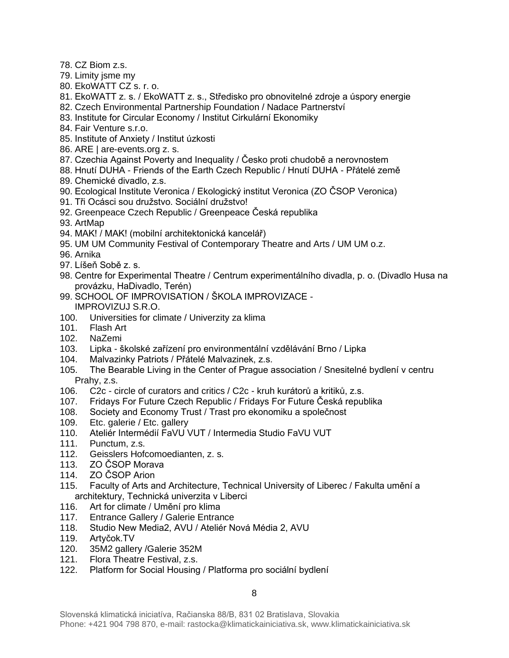- 78. CZ Biom z.s.
- 79. Limity jsme my
- 80. EkoWATT CZ s. r. o.
- 81. EkoWATT z. s. / EkoWATT z. s., Středisko pro obnovitelné zdroje a úspory energie
- 82. Czech Environmental Partnership Foundation / Nadace Partnerství
- 83. Institute for Circular Economy / Institut Cirkulární Ekonomiky
- 84. Fair Venture s.r.o.
- 85. Institute of Anxiety / Institut úzkosti
- 86. [ARE | are-events.org z. s.](http://are-events.org/)
- 87. Czechia Against Poverty and Inequality / Česko proti chudobě a nerovnostem
- 88. Hnutí DUHA Friends of the Earth Czech Republic / Hnutí DUHA Přátelé země
- 89. Chemické divadlo, z.s.
- 90. Ecological Institute Veronica / Ekologický institut Veronica (ZO ČSOP Veronica)
- 91. Tři Ocásci sou družstvo. Sociální družstvo!
- 92. Greenpeace Czech Republic / Greenpeace Česká republika
- 93. ArtMap
- 94. MAK! / MAK! (mobilní architektonická kancelář)
- 95. UM UM Community Festival of Contemporary Theatre and Arts / UM UM o.z.
- 96. Arnika
- 97. Líšeň Sobě z. s.
- 98. Centre for Experimental Theatre / Centrum experimentálního divadla, p. o. (Divadlo Husa na provázku, HaDivadlo, Terén)
- 99. SCHOOL OF IMPROVISATION / ŠKOLA IMPROVIZACE IMPROVIZUJ S.R.O.
- 100. Universities for climate / Univerzity za klima
- 101. Flash Art
- 102. NaZemi
- 103. Lipka školské zařízení pro environmentální vzdělávání Brno / Lipka
- 104. Malvazinky Patriots / Přátelé Malvazinek, z.s.
- 105. The Bearable Living in the Center of Prague association / Snesitelné bydlení v centru Prahy, z.s.
- 106. C2c circle of curators and critics / C2c kruh kurátorů a kritiků, z.s.
- 107. Fridays For Future Czech Republic / Fridays For Future Česká republika
- 108. Society and Economy Trust / Trast pro ekonomiku a společnost
- 109. Etc. galerie / Etc. gallery
- 110. Ateliér Intermédií FaVU VUT / Intermedia Studio FaVU VUT
- 111. Punctum, z.s.
- 112. Geisslers Hofcomoedianten, z. s.
- 113. ZO ČSOP Morava
- 114. ZO ČSOP Arion
- 115. Faculty of Arts and Architecture, Technical University of Liberec / Fakulta umění a architektury, Technická univerzita v Liberci
- 116. Art for climate / Umění pro klima
- 117. Entrance Gallery / Galerie Entrance
- 118. Studio New Media2, AVU / Ateliér Nová Média 2, AVU
- 119. Artyčok.TV
- 120. 35M2 gallery /Galerie 352M
- 121. Flora Theatre Festival, z.s.
- 122. Platform for Social Housing / Platforma pro sociální bydlení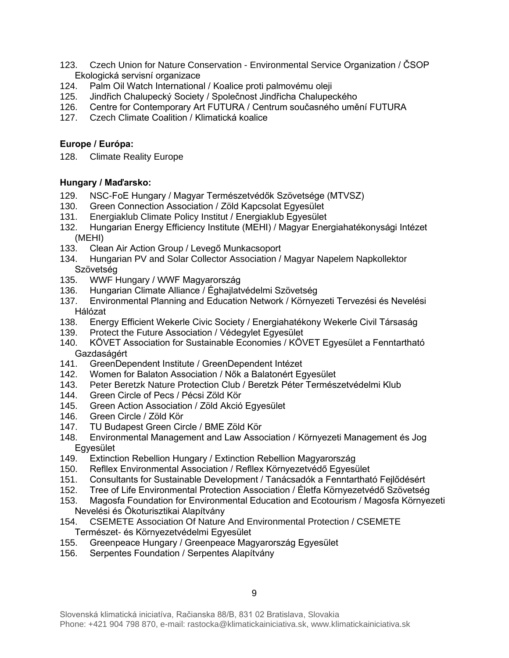- 123. Czech Union for Nature Conservation Environmental Service Organization / ČSOP Ekologická servisní organizace
- 124. Palm Oil Watch International / Koalice proti palmovému oleji
- 125. Jindřich Chalupecký Society / Společnost Jindřicha Chalupeckého
- 126. Centre for Contemporary Art FUTURA / Centrum současného umění FUTURA
- 127. Czech Climate Coalition / Klimatická koalice

# **Europe / Európa:**

128. Climate Reality Europe

### **Hungary / Maďarsko:**

- 129. NSC-FoE Hungary / Magyar Természetvédők Szövetsége (MTVSZ)
- 130. Green Connection Association / Zöld Kapcsolat Egyesület
- 131. Energiaklub Climate Policy Institut / Energiaklub Egyesület
- 132. Hungarian Energy Efficiency Institute (MEHI) / Magyar Energiahatékonysági Intézet (MEHI)
- 133. Clean Air Action Group / Levegő Munkacsoport
- 134. Hungarian PV and Solar Collector Association / Magyar Napelem Napkollektor Szövetség
- 135. WWF Hungary / WWF Magyarország
- 136. Hungarian Climate Alliance / Éghajlatvédelmi Szövetség
- 137. Environmental Planning and Education Network / Környezeti Tervezési és Nevelési Hálózat
- 138. Energy Efficient Wekerle Civic Society / Energiahatékony Wekerle Civil Társaság
- 139. Protect the Future Association / Védegylet Egyesület
- 140. KÖVET Association for Sustainable Economies / KÖVET Egyesület a Fenntartható Gazdaságért
- 141. GreenDependent Institute / GreenDependent Intézet
- 142. Women for Balaton Association / Nők a Balatonért Egyesület
- 143. Peter Beretzk Nature Protection Club / Beretzk Péter Természetvédelmi Klub
- 144. Green Circle of Pecs / Pécsi Zöld Kör
- 145. Green Action Association / Zöld Akció Egyesület
- 146. Green Circle / Zöld Kör<br>147. TU Budapest Green Cir
- 147. TU Budapest Green Circle / BME Zöld Kör
- 148. Environmental Management and Law Association / Környezeti Management és Jog Egyesület
- 149. Extinction Rebellion Hungary / Extinction Rebellion Magyarország
- 150. Refllex Environmental Association / Refllex Környezetvédő Egyesület
- 151. Consultants for Sustainable Development / Tanácsadók a Fenntartható Fejlődésért
- 152. Tree of Life Environmental Protection Association / Életfa Környezetvédő Szövetség
- 153. Magosfa Foundation for Environmental Education and Ecotourism / Magosfa Környezeti Nevelési és Ökoturisztikai Alapítvány
- 154. CSEMETE Association Of Nature And Environmental Protection / CSEMETE Természet- és Környezetvédelmi Egyesület
- 155. Greenpeace Hungary / Greenpeace Magyarország Egyesület
- 156. Serpentes Foundation / Serpentes Alapítvány